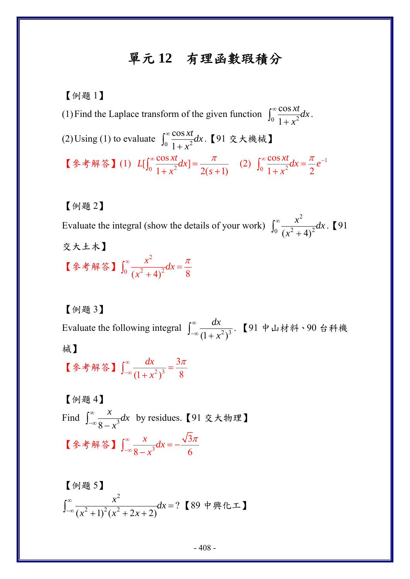## 單元 **12** 有理函數瑕積分

【例題 1】 (1) Find the Laplace transform of the given function  $\int_0^\infty \frac{\cos x \, dx}{1 + x^2}$ cos 1 *xt dx x*  $\int_0^\infty \frac{\cos xt}{1+x^2} dx$ . (2) Using (1) to evaluate  $\int_0^\infty \frac{\cos x \, dx}{1 + x^2}$ cos 1 *xt dx x*  $\int_0^\infty \! \frac{\cos xt}{1+x^2} dx$ .【91 交大機械】 【参考解答】(1)  $L[\int_0^\infty \frac{\cos xt}{1 + x^2} dx] = \frac{\pi}{2(s+1)}$  $\int_0^\infty \frac{\cos xt}{1+x^2} dx = \frac{\pi}{2(s+1)}$  (2)  $\int_0^\infty \frac{\cos xt}{1+x^2} dx = \frac{\pi}{2} e^{-1}$ cos  $1 + x^2$  2  $\frac{xt}{dx}dx = \frac{\pi}{e}e$  $\int_0^\infty \frac{\cos xt}{1+x^2} dx = \frac{\pi}{2} e^{-t}$ 

【例題 2】

Evaluate the integral (show the details of your work) 2  $(x^2+4)^2$  $\frac{x^2}{2}$  *dx x*  $\int_0^\infty \frac{x^2}{(x^2+4)^2} dx$ . [91] 交大土木】 【參考解答】 2  $0 \left( x^2 + 4 \right)^{2}$  $\frac{x^2}{2}$  dx *x*  $\int_0^\infty \frac{x^2}{(x^2+4)^2} dx = \frac{\pi}{8}$ 

【例題 3】

Evaluate the following integral  $\int_{-\infty}^{\infty} \frac{dx}{(1 + x^2)^3}$ *dx x*  $\int_{-\infty}^{\infty} \frac{dx}{\left(1+x^2\right)^3}$ . 【91 中山材料、90 台科機 械】

【参考解答】 $\int_{-\infty}^{\infty} \frac{ux}{(1+x^2)^3}$ 3  $(1 + x^2)^3$  8 *dx x*  $\int_{-\infty}^{\infty} \frac{dx}{(1+x^2)^3} = \frac{3\pi}{8}$ 

【例題 4】 Find  $\int_{-\infty}^{\infty} \frac{x}{8-x^3}$  $\frac{x}{2}dx$ *x*  $\int_{-\infty}^{\infty} \frac{x}{8-x^3} dx$  by residues.【91 交大物理】 【參考解答】 $\int_{-\infty}^{\infty} \frac{x}{\sqrt{3}}$ 3  $8 - x^3$  6  $\frac{x}{\sqrt{2}}dx$ *x*  $\int_{-\infty}^{\infty} \frac{x}{8-x^3} dx = -\frac{\sqrt{3\pi}}{6}$ 

$$
\left[\frac{64}{94}\right] \int_{-\infty}^{\infty} \frac{x^2}{(x^2+1)^2(x^2+2x+2)} dx = ?
$$
 [89 中興化工]